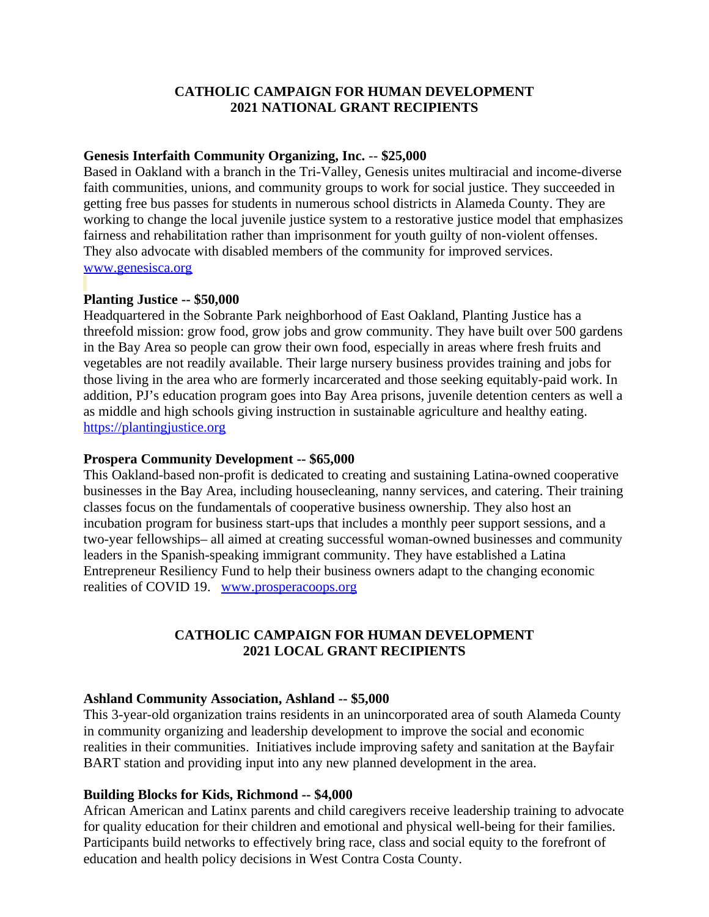# **CATHOLIC CAMPAIGN FOR HUMAN DEVELOPMENT 2021 NATIONAL GRANT RECIPIENTS**

### **Genesis Interfaith Community Organizing, Inc.** -- **\$25,000**

Based in Oakland with a branch in the Tri-Valley, Genesis unites multiracial and income-diverse faith communities, unions, and community groups to work for social justice. They succeeded in getting free bus passes for students in numerous school districts in Alameda County. They are working to change the local juvenile justice system to a restorative justice model that emphasizes fairness and rehabilitation rather than imprisonment for youth guilty of non-violent offenses. They also advocate with disabled members of the community for improved services. [www.genesisca.org](https://www.genesisca.org/)

# **Planting Justice -- \$50,000**

Headquartered in the Sobrante Park neighborhood of East Oakland, Planting Justice has a threefold mission: grow food, grow jobs and grow community. They have built over 500 gardens in the Bay Area so people can grow their own food, especially in areas where fresh fruits and vegetables are not readily available. Their large nursery business provides training and jobs for those living in the area who are formerly incarcerated and those seeking equitably-paid work. In addition, PJ's education program goes into Bay Area prisons, juvenile detention centers as well a as middle and high schools giving instruction in sustainable agriculture and healthy eating. [https://plantingjustice.org](https://plantingjustice.org/)

#### **Prospera Community Development -- \$65,000**

This Oakland-based non-profit is dedicated to creating and sustaining Latina-owned cooperative businesses in the Bay Area, including housecleaning, nanny services, and catering. Their training classes focus on the fundamentals of cooperative business ownership. They also host an incubation program for business start-ups that includes a monthly peer support sessions, and a two-year fellowships– all aimed at creating successful woman-owned businesses and community leaders in the Spanish-speaking immigrant community. They have established a Latina Entrepreneur Resiliency Fund to help their business owners adapt to the changing economic realities of COVID 19. [www.prosperacoops.org](http://www.prosperacoops.org/)

### **CATHOLIC CAMPAIGN FOR HUMAN DEVELOPMENT 2021 LOCAL GRANT RECIPIENTS**

### **Ashland Community Association, Ashland -- \$5,000**

This 3-year-old organization trains residents in an unincorporated area of south Alameda County in community organizing and leadership development to improve the social and economic realities in their communities. Initiatives include improving safety and sanitation at the Bayfair BART station and providing input into any new planned development in the area.

### **Building Blocks for Kids, Richmond -- \$4,000**

African American and Latinx parents and child caregivers receive leadership training to advocate for quality education for their children and emotional and physical well-being for their families. Participants build networks to effectively bring race, class and social equity to the forefront of education and health policy decisions in West Contra Costa County.